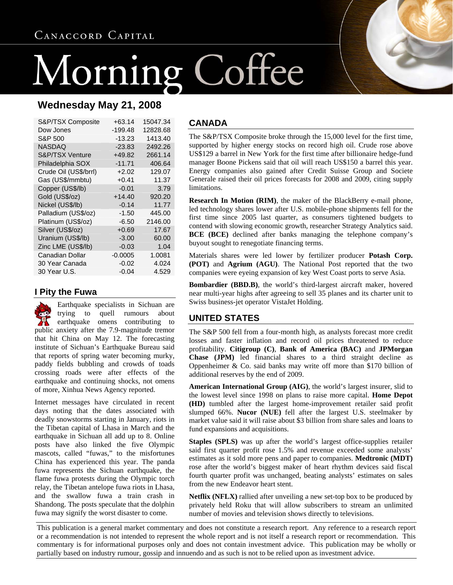# ng Coffee Morni

# **Wednesday May 21, 2008**

| S&P/TSX Composite     | +63.14    | 15047.34 |
|-----------------------|-----------|----------|
| Dow Jones             | -199.48   | 12828.68 |
| S&P 500               | $-13.23$  | 1413.40  |
| <b>NASDAQ</b>         | $-23.83$  | 2492.26  |
| S&P/TSX Venture       | +49.82    | 2661.14  |
| Philadelphia SOX      | $-11.71$  | 406.64   |
| Crude Oil (US\$/brrl) | $+2.02$   | 129.07   |
| Gas (US\$/mmbtu)      | $+0.41$   | 11.37    |
| Copper (US\$/lb)      | $-0.01$   | 3.79     |
| Gold (US\$/oz)        | $+14.40$  | 920.20   |
| Nickel (US\$/lb)      | $-0.14$   | 11.77    |
| Palladium (US\$/oz)   | $-1.50$   | 445.00   |
| Platinum (US\$/oz)    | $-6.50$   | 2146.00  |
| Silver (US\$/oz)      | $+0.69$   | 17.67    |
| Uranium (US\$/lb)     | $-3.00$   | 60.00    |
| Zinc LME (US\$/lb)    | $-0.03$   | 1.04     |
| Canadian Dollar       | $-0.0005$ | 1.0081   |
| 30 Year Canada        | $-0.02$   | 4.024    |
| 30 Year U.S.          | $-0.04$   | 4.529    |

### **I Pity the Fuwa**

Earthquake specialists in Sichuan are trying to quell rumours about earthquake omens contributing to public anxiety after the 7.9-magnitude tremor that hit China on May 12. The forecasting institute of Sichuan's Earthquake Bureau said that reports of spring water becoming murky, paddy fields bubbling and crowds of toads crossing roads were after effects of the earthquake and continuing shocks, not omens of more, Xinhua News Agency reported.

Internet messages have circulated in recent days noting that the dates associated with deadly snowstorms starting in January, riots in the Tibetan capital of Lhasa in March and the earthquake in Sichuan all add up to 8. Online posts have also linked the five Olympic mascots, called "fuwas," to the misfortunes China has experienced this year. The panda fuwa represents the Sichuan earthquake, the flame fuwa protests during the Olympic torch relay, the Tibetan antelope fuwa riots in Lhasa, and the swallow fuwa a train crash in Shandong. The posts speculate that the dolphin fuwa may signify the worst disaster to come.

#### **CANADA**

The S&P/TSX Composite broke through the 15,000 level for the first time, supported by higher energy stocks on record high oil. Crude rose above US\$129 a barrel in New York for the first time after billionaire hedge-fund manager Boone Pickens said that oil will reach US\$150 a barrel this year. Energy companies also gained after Credit Suisse Group and Societe Generale raised their oil prices forecasts for 2008 and 2009, citing supply limitations.

**Research In Motion (RIM)**, the maker of the BlackBerry e-mail phone, led technology shares lower after U.S. mobile-phone shipments fell for the first time since 2005 last quarter, as consumers tightened budgets to contend with slowing economic growth, researcher Strategy Analytics said. **BCE (BCE)** declined after banks managing the telephone company's buyout sought to renegotiate financing terms.

Materials shares were led lower by fertilizer producer **Potash Corp. (POT)** and **Agrium (AGU)**. The National Post reported that the two companies were eyeing expansion of key West Coast ports to serve Asia.

**Bombardier (BBD.B)**, the world's third-largest aircraft maker, hovered near multi-year highs after agreeing to sell 35 planes and its charter unit to Swiss business-jet operator VistaJet Holding.

### **UNITED STATES**

The S&P 500 fell from a four-month high, as analysts forecast more credit losses and faster inflation and record oil prices threatened to reduce profitability. **Citigroup (C)**, **Bank of America (BAC)** and **JPMorgan Chase (JPM)** led financial shares to a third straight decline as Oppenheimer & Co. said banks may write off more than \$170 billion of additional reserves by the end of 2009.

**American International Group (AIG)**, the world's largest insurer, slid to the lowest level since 1998 on plans to raise more capital. **Home Depot (HD)** tumbled after the largest home-improvement retailer said profit slumped 66%. **Nucor (NUE)** fell after the largest U.S. steelmaker by market value said it will raise about \$3 billion from share sales and loans to fund expansions and acquisitions.

**Staples (SPLS)** was up after the world's largest office-supplies retailer said first quarter profit rose 1.5% and revenue exceeded some analysts' estimates as it sold more pens and paper to companies. **Medtronic (MDT)** rose after the world's biggest maker of heart rhythm devices said fiscal fourth quarter profit was unchanged, beating analysts' estimates on sales from the new Endeavor heart stent.

**Netflix (NFLX)** rallied after unveiling a new set-top box to be produced by privately held Roku that will allow subscribers to stream an unlimited number of movies and television shows directly to televisions.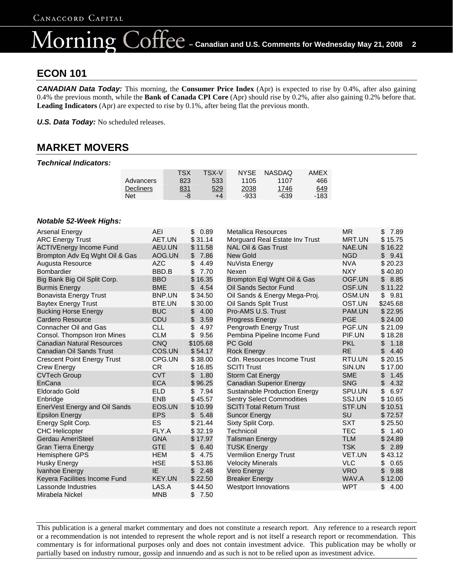### $\bigcirc$ O $\operatorname{free}$  – Canadian and U.S. Comments for Wednesday May 21, 2008 2 lorning

### **ECON 101**

*CANADIAN Data Today:* This morning, the **Consumer Price Index** (Apr) is expected to rise by 0.4%, after also gaining 0.4% the previous month, while the **Bank of Canada CPI Core** (Apr) should rise by 0.2%, after also gaining 0.2% before that. **Leading Indicators** (Apr) are expected to rise by 0.1%, after being flat the previous month.

*U.S. Data Today:* No scheduled releases.

# **MARKET MOVERS**

#### *Technical Indicators:*

|           | TSX        | TSX-V | <b>NYSE</b> | <b>NASDAQ</b> | AMEX       |
|-----------|------------|-------|-------------|---------------|------------|
| Advancers | 823        | 533   | 1105        | 1107          | 466        |
| Decliners | <u>831</u> | 529   | 2038        | 1746          | <u>649</u> |
| Net       | -8         | $+4$  | -933        | -639          | -183       |

#### *Notable 52-Week Highs:*

| <b>Arsenal Energy</b>              | AEI        | \$<br>0.89  | <b>Metallica Resources</b>           | <b>MR</b>  | \$<br>7.89 |
|------------------------------------|------------|-------------|--------------------------------------|------------|------------|
| <b>ARC Energy Trust</b>            | AET.UN     | \$31.14     | Morguard Real Estate Inv Trust       | MRT.UN     | \$15.75    |
| <b>ACTIVEnergy Income Fund</b>     | AEU.UN     | \$11.58     | <b>NAL Oil &amp; Gas Trust</b>       | NAE.UN     | \$16.22    |
| Brompton Adv Eq Wght Oil & Gas     | AOG.UN     | \$<br>7.86  | <b>New Gold</b>                      | <b>NGD</b> | \$<br>9.41 |
| Augusta Resource                   | <b>AZC</b> | \$<br>4.49  | NuVista Energy                       | <b>NVA</b> | \$20.23    |
| <b>Bombardier</b>                  | BBD.B      | \$<br>7.70  | Nexen                                | <b>NXY</b> | \$40.80    |
| Big Bank Big Oil Split Corp.       | <b>BBO</b> | \$<br>16.35 | Brompton Eql Wght Oil & Gas          | OGF.UN     | \$<br>8.85 |
| <b>Burmis Energy</b>               | <b>BME</b> | \$<br>4.54  | Oil Sands Sector Fund                | OSF.UN     | \$11.22    |
| <b>Bonavista Energy Trust</b>      | BNP.UN     | \$34.50     | Oil Sands & Energy Mega-Proj.        | OSM.UN     | \$<br>9.81 |
| <b>Baytex Energy Trust</b>         | BTE.UN     | \$30.00     | Oil Sands Split Trust                | OST.UN     | \$245.68   |
| <b>Bucking Horse Energy</b>        | <b>BUC</b> | \$<br>4.00  | Pro-AMS U.S. Trust                   | PAM.UN     | \$22.95    |
| Cardero Resource                   | <b>CDU</b> | \$<br>3.59  | <b>Progress Energy</b>               | <b>PGE</b> | \$24.00    |
| Connacher Oil and Gas              | <b>CLL</b> | \$<br>4.97  | Pengrowth Energy Trust               | PGF.UN     | \$21.09    |
| Consol. Thompson Iron Mines        | <b>CLM</b> | \$<br>9.56  | Pembina Pipeline Income Fund         | PIF.UN     | \$18.28    |
| <b>Canadian Natural Resources</b>  | <b>CNQ</b> | \$105.68    | PC Gold                              | <b>PKL</b> | \$<br>1.18 |
| <b>Canadian Oil Sands Trust</b>    | COS.UN     | \$54.17     | <b>Rock Energy</b>                   | <b>RE</b>  | \$<br>4.40 |
| <b>Crescent Point Energy Trust</b> | CPG.UN     | \$38.00     | Cdn. Resources Income Trust          | RTU.UN     | \$20.15    |
| <b>Crew Energy</b>                 | <b>CR</b>  | \$16.85     | <b>SCITI Trust</b>                   | SIN.UN     | \$17.00    |
| <b>CVTech Group</b>                | <b>CVT</b> | 1.80<br>\$  | <b>Storm Cat Energy</b>              | <b>SME</b> | \$<br>1.45 |
| EnCana                             | <b>ECA</b> | \$96.25     | <b>Canadian Superior Energy</b>      | <b>SNG</b> | \$<br>4.32 |
| Eldorado Gold                      | <b>ELD</b> | \$7.94      | <b>Sustainable Production Energy</b> | SPU.UN     | \$<br>6.97 |
| Enbridge                           | <b>ENB</b> | \$45.57     | <b>Sentry Select Commodities</b>     | SSJ.UN     | \$10.65    |
| EnerVest Energy and Oil Sands      | EOS.UN     | \$10.99     | <b>SCITI Total Return Trust</b>      | STF.UN     | \$10.51    |
| <b>Epsilon Energy</b>              | <b>EPS</b> | \$<br>5.48  | <b>Suncor Energy</b>                 | <b>SU</b>  | \$72.57    |
| Energy Split Corp.                 | ES         | \$21.44     | Sixty Split Corp.                    | <b>SXT</b> | \$25.50    |
| <b>CHC Helicopter</b>              | FLY.A      | \$32.19     | Technicoil                           | <b>TEC</b> | \$<br>1.40 |
| Gerdau AmeriSteel                  | <b>GNA</b> | \$17.97     | <b>Talisman Energy</b>               | <b>TLM</b> | \$24.89    |
| <b>Gran Tierra Energy</b>          | <b>GTE</b> | 6.40<br>\$. | <b>TUSK Energy</b>                   | <b>TSK</b> | 2.89<br>\$ |
| Hemisphere GPS                     | <b>HEM</b> | \$<br>4.75  | Vermilion Energy Trust               | VET.UN     | \$43.12    |
| <b>Husky Energy</b>                | <b>HSE</b> | \$53.86     | <b>Velocity Minerals</b>             | <b>VLC</b> | \$<br>0.65 |
| Ivanhoe Energy                     | IE.        | 2.48<br>\$  | Vero Energy                          | <b>VRO</b> | \$<br>9.88 |
| Keyera Facilities Income Fund      | KEY.UN     | \$22.50     | <b>Breaker Energy</b>                | WAV.A      | \$12.00    |
| Lassonde Industries                | LAS.A      | \$44.50     | <b>Westport Innovations</b>          | <b>WPT</b> | \$<br>4.00 |
| Mirabela Nickel                    | <b>MNB</b> | \$<br>7.50  |                                      |            |            |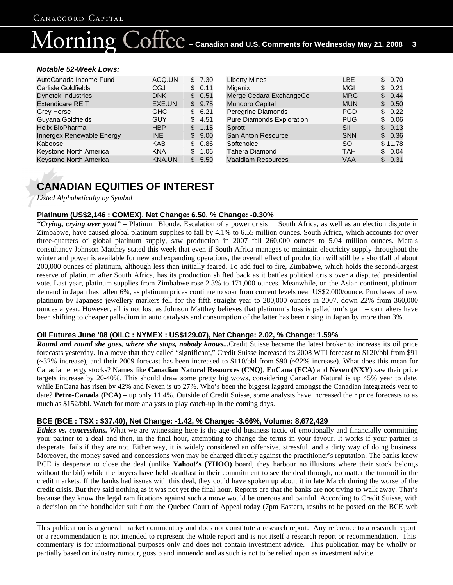### $\text{OTFC}\,$  – Canadian and U.S. Comments for Wednesday May 21, 2008  $^-$  3 ornin

#### *Notable 52-Week Lows:*

| AutoCanada Income Fund     | ACQ.UN        |    | 7.30 |
|----------------------------|---------------|----|------|
| <b>Carlisle Goldfields</b> | CGJ           |    | 0.11 |
| <b>Dynetek Industries</b>  | <b>DNK</b>    | \$ | 0.51 |
| <b>Extendicare REIT</b>    | EXE.UN        | S  | 9.75 |
| <b>Grey Horse</b>          | <b>GHC</b>    |    | 6.21 |
| Guyana Goldfields          | GUY           | \$ | 4.51 |
| <b>Helix BioPharma</b>     | <b>HBP</b>    |    | 1.15 |
| Innergex Renewable Energy  | INE           | \$ | 9.00 |
| Kaboose                    | <b>KAB</b>    | S  | 0.86 |
| Keystone North America     | <b>KNA</b>    | \$ | 1.06 |
| Keystone North America     | <b>KNA.UN</b> |    | 5.59 |

| <b>Liberty Mines</b>             | LBE        | 0.70       |
|----------------------------------|------------|------------|
| Migenix                          | MGI        | 0.21<br>S  |
| Merge Cedara ExchangeCo          | <b>MRG</b> | 0.44<br>\$ |
| Mundoro Capital                  | <b>MUN</b> | 0.50<br>S. |
| Peregrine Diamonds               | <b>PGD</b> | 0.22<br>\$ |
| <b>Pure Diamonds Exploration</b> | <b>PUG</b> | 0.06<br>S. |
| Sprott                           | SII        | 9.13<br>S  |
| San Anton Resource               | <b>SNN</b> | 0.36<br>\$ |
| Softchoice                       | <b>SO</b>  | \$11.78    |
| <b>Tahera Diamond</b>            | <b>TAH</b> | 0.04<br>S. |
| <b>Vaaldiam Resources</b>        | VAA        | 0.31       |

# **CANADIAN EQUITIES OF INTEREST**

*Listed Alphabetically by Symbol*

#### **Platinum (US\$2,146 : COMEX), Net Change: 6.50, % Change: -0.30%**

*"Crying, crying over you!"* – Platinum Blonde. Escalation of a power crisis in South Africa, as well as an election dispute in Zimbabwe, have caused global platinum supplies to fall by 4.1% to 6.55 million ounces. South Africa, which accounts for over three-quarters of global platinum supply, saw production in 2007 fall 260,000 ounces to 5.04 million ounces. Metals consultancy Johnson Matthey stated this week that even if South Africa manages to maintain electricity supply throughout the winter and power is available for new and expanding operations, the overall effect of production will still be a shortfall of about 200,000 ounces of platinum, although less than initially feared. To add fuel to fire, Zimbabwe, which holds the second-largest reserve of platinum after South Africa, has its production shifted back as it battles political crisis over a disputed presidential vote. Last year, platinum supplies from Zimbabwe rose 2.3% to 171,000 ounces. Meanwhile, on the Asian continent, platinum demand in Japan has fallen 6%, as platinum prices continue to soar from current levels near US\$2,000/ounce. Purchases of new platinum by Japanese jewellery markers fell for the fifth straight year to 280,000 ounces in 2007, down 22% from 360,000 ounces a year. However, all is not lost as Johnson Matthey believes that platinum's loss is palladium's gain – carmakers have been shifting to cheaper palladium in auto catalysts and consumption of the latter has been rising in Japan by more than 3%.

#### **Oil Futures June '08 (OILC : NYMEX : US\$129.07), Net Change: 2.02, % Change: 1.59%**

*Round and round she goes, where she stops, nobody knows...*Credit Suisse became the latest broker to increase its oil price forecasts yesterday. In a move that they called "significant," Credit Suisse increased its 2008 WTI forecast to \$120/bbl from \$91  $(\sim 32\%$  increase), and their 2009 forecast has been increased to \$110/bbl from \$90 ( $\sim 22\%$  increase). What does this mean for Canadian energy stocks? Names like **Canadian Natural Resources (CNQ)**, **EnCana (ECA)** and **Nexen (NXY)** saw their price targets increase by 20-40%. This should draw some pretty big wows, considering Canadian Natural is up 45% year to date, while EnCana has risen by 42% and Nexen is up 27%. Who's been the biggest laggard amongst the Canadian integrateds year to date? **Petro-Canada (PCA)** – up only 11.4%. Outside of Credit Suisse, some analysts have increased their price forecasts to as much as \$152/bbl. Watch for more analysts to play catch-up in the coming days.

#### **BCE (BCE : TSX : \$37.40), Net Change: -1.42, % Change: -3.66%, Volume: 8,672,429**

*Ethics vs. concessions.* What we are witnessing here is the age-old business tactic of emotionally and financially committing your partner to a deal and then, in the final hour, attempting to change the terms in your favour. It works if your partner is desperate, fails if they are not. Either way, it is widely considered an offensive, stressful, and a dirty way of doing business. Moreover, the money saved and concessions won may be charged directly against the practitioner's reputation. The banks know BCE is desperate to close the deal (unlike **Yahoo!'s (YHOO)** board, they harbour no illusions where their stock belongs without the bid) while the buyers have held steadfast in their commitment to see the deal through, no matter the turmoil in the credit markets. If the banks had issues with this deal, they could have spoken up about it in late March during the worse of the credit crisis. But they said nothing as it was not yet the final hour. Reports are that the banks are not trying to walk away. That's because they know the legal ramifications against such a move would be onerous and painful. According to Credit Suisse, with a decision on the bondholder suit from the Quebec Court of Appeal today (7pm Eastern, results to be posted on the BCE web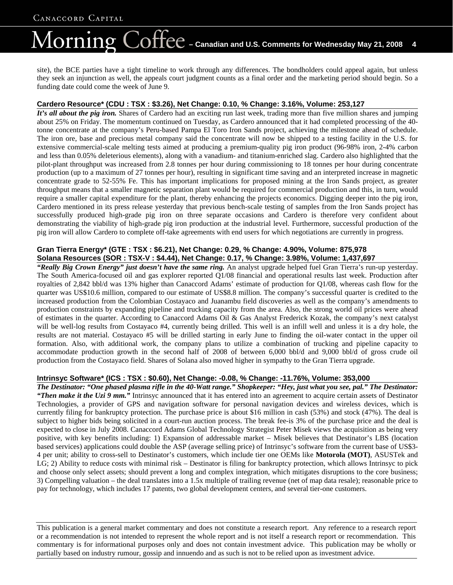# $\text{Coffee}$  – Canadian and U.S. Comments for Wednesday May 21, 2008 4 lorning

site), the BCE parties have a tight timeline to work through any differences. The bondholders could appeal again, but unless they seek an injunction as well, the appeals court judgment counts as a final order and the marketing period should begin. So a funding date could come the week of June 9.

### **Cardero Resource\* (CDU : TSX : \$3.26), Net Change: 0.10, % Change: 3.16%, Volume: 253,127**

*It's all about the pig iron.* Shares of Cardero had an exciting run last week, trading more than five million shares and jumping about 25% on Friday. The momentum continued on Tuesday, as Cardero announced that it had completed processing of the 40 tonne concentrate at the company's Peru-based Pampa El Toro Iron Sands project, achieving the milestone ahead of schedule. The iron ore, base and precious metal company said the concentrate will now be shipped to a testing facility in the U.S. for extensive commercial-scale melting tests aimed at producing a premium-quality pig iron product (96-98% iron, 2-4% carbon and less than 0.05% deleterious elements), along with a vanadium- and titanium-enriched slag. Cardero also highlighted that the pilot-plant throughput was increased from 2.8 tonnes per hour during commissioning to 18 tonnes per hour during concentrate production (up to a maximum of 27 tonnes per hour), resulting in significant time saving and an interpreted increase in magnetic concentrate grade to 52-55% Fe. This has important implications for proposed mining at the Iron Sands project, as greater throughput means that a smaller magnetic separation plant would be required for commercial production and this, in turn, would require a smaller capital expenditure for the plant, thereby enhancing the projects economics. Digging deeper into the pig iron, Cardero mentioned in its press release yesterday that previous bench-scale testing of samples from the Iron Sands project has successfully produced high-grade pig iron on three separate occasions and Cardero is therefore very confident about demonstrating the viability of high-grade pig iron production at the industrial level. Furthermore, successful production of the pig iron will allow Cardero to complete off-take agreements with end users for which negotiations are currently in progress.

### **Gran Tierra Energy\* (GTE : TSX : \$6.21), Net Change: 0.29, % Change: 4.90%, Volume: 875,978 Solana Resources (SOR : TSX-V : \$4.44), Net Change: 0.17, % Change: 3.98%, Volume: 1,437,697**

*"Really Big Crown Energy" just doesn't have the same ring.* An analyst upgrade helped fuel Gran Tierra's run-up yesterday. The South America-focused oil and gas explorer reported Q1/08 financial and operational results last week. Production after royalties of 2,842 bbl/d was 13% higher than Canaccord Adams' estimate of production for Q1/08, whereas cash flow for the quarter was US\$10.6 million, compared to our estimate of US\$8.8 million. The company's successful quarter is credited to the increased production from the Colombian Costayaco and Juanambu field discoveries as well as the company's amendments to production constraints by expanding pipeline and trucking capacity from the area. Also, the strong world oil prices were ahead of estimates in the quarter. According to Canaccord Adams Oil & Gas Analyst Frederick Kozak, the company's next catalyst will be well-log results from Costayaco #4, currently being drilled. This well is an infill well and unless it is a dry hole, the results are not material. Costayaco #5 will be drilled starting in early June to finding the oil-water contact in the upper oil formation. Also, with additional work, the company plans to utilize a combination of trucking and pipeline capacity to accommodate production growth in the second half of 2008 of between 6,000 bbl/d and 9,000 bbl/d of gross crude oil production from the Costayaco field. Shares of Solana also moved higher in sympathy to the Gran Tierra upgrade.

### **Intrinsyc Software\* (ICS : TSX : \$0.60), Net Change: -0.08, % Change: -11.76%, Volume: 353,000**

*The Destinator: "One phased plasma rifle in the 40-Watt range." Shopkeeper: "Hey, just what you see, pal." The Destinator: "Then make it the Uzi 9 mm."* Intrinsyc announced that it has entered into an agreement to acquire certain assets of Destinator Technologies, a provider of GPS and navigation software for personal navigation devices and wireless devices, which is currently filing for bankruptcy protection. The purchase price is about \$16 million in cash (53%) and stock (47%). The deal is subject to higher bids being solicited in a court-run auction process. The break fee-is 3% of the purchase price and the deal is expected to close in July 2008. Canaccord Adams Global Technology Strategist Peter Misek views the acquisition as being very positive, with key benefits including: 1) Expansion of addressable market – Misek believes that Destinator's LBS (location based services) applications could double the ASP (average selling price) of Intrinsyc's software from the current base of US\$3- 4 per unit; ability to cross-sell to Destinator's customers, which include tier one OEMs like **Motorola (MOT)**, ASUSTek and LG; 2) Ability to reduce costs with minimal risk – Destinator is filing for bankruptcy protection, which allows Intrinsyc to pick and choose only select assets; should prevent a long and complex integration, which mitigates disruptions to the core business; 3) Compelling valuation – the deal translates into a 1.5x multiple of trailing revenue (net of map data resale); reasonable price to pay for technology, which includes 17 patents, two global development centers, and several tier-one customers.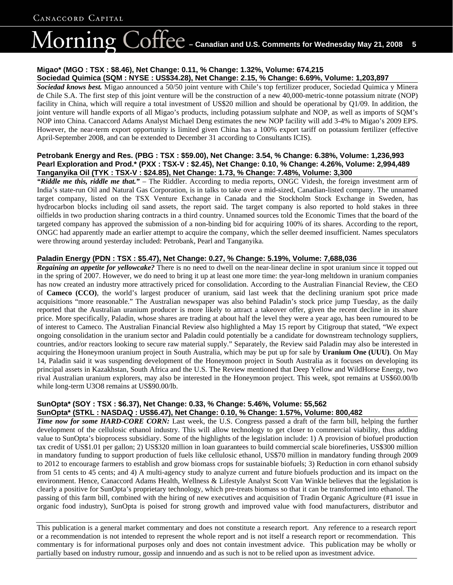# $\overline{\text{Coffect}}$  – Canadian and U.S. Comments for Wednesday May 21, 2008  $^-$  5 1orning

#### **Migao\* (MGO : TSX : \$8.46), Net Change: 0.11, % Change: 1.32%, Volume: 674,215 Sociedad Quimica (SQM : NYSE : US\$34.28), Net Change: 2.15, % Change: 6.69%, Volume: 1,203,897**

*Sociedad knows best.* Migao announced a 50/50 joint venture with Chile's top fertilizer producer, Sociedad Quimica y Minera de Chile S.A. The first step of this joint venture will be the construction of a new 40,000-metric-tonne potassium nitrate (NOP) facility in China, which will require a total investment of US\$20 million and should be operational by Q1/09. In addition, the joint venture will handle exports of all Migao's products, including potassium sulphate and NOP, as well as imports of SQM's NOP into China. Canaccord Adams Analyst Michael Deng estimates the new NOP facility will add 3-4% to Migao's 2009 EPS. However, the near-term export opportunity is limited given China has a 100% export tariff on potassium fertilizer (effective April-September 2008, and can be extended to December 31 according to Consultants ICIS).

#### **Petrobank Energy and Res. (PBG : TSX : \$59.00), Net Change: 3.54, % Change: 6.38%, Volume: 1,236,993 Pearl Exploration and Prod.\* (PXX : TSX-V : \$2.45), Net Change: 0.10, % Change: 4.26%, Volume: 2,994,489 Tanganyika Oil (TYK : TSX-V : \$24.85), Net Change: 1.73, % Change: 7.48%, Volume: 3,300**

*"Riddle me this, riddle me that."* – The Riddler. According to media reports, ONGC Videsh, the foreign investment arm of India's state-run Oil and Natural Gas Corporation, is in talks to take over a mid-sized, Canadian-listed company. The unnamed target company, listed on the TSX Venture Exchange in Canada and the Stockholm Stock Exchange in Sweden, has hydrocarbon blocks including oil sand assets, the report said. The target company is also reported to hold stakes in three oilfields in two production sharing contracts in a third country. Unnamed sources told the Economic Times that the board of the targeted company has approved the submission of a non-binding bid for acquiring 100% of its shares. According to the report, ONGC had apparently made an earlier attempt to acquire the company, which the seller deemed insufficient. Names speculators were throwing around yesterday included: Petrobank, Pearl and Tanganyika.

### **Paladin Energy (PDN : TSX : \$5.47), Net Change: 0.27, % Change: 5.19%, Volume: 7,688,036**

*Regaining an appetite for yellowcake?* There is no need to dwell on the near-linear decline in spot uranium since it topped out in the spring of 2007. However, we do need to bring it up at least one more time: the year-long meltdown in uranium companies has now created an industry more attractively priced for consolidation. According to the Australian Financial Review, the CEO of **Cameco (CCO)**, the world's largest producer of uranium, said last week that the declining uranium spot price made acquisitions "more reasonable." The Australian newspaper was also behind Paladin's stock price jump Tuesday, as the daily reported that the Australian uranium producer is more likely to attract a takeover offer, given the recent decline in its share price. More specifically, Paladin, whose shares are trading at about half the level they were a year ago, has been rumoured to be of interest to Cameco. The Australian Financial Review also highlighted a May 15 report by Citigroup that stated, "We expect ongoing consolidation in the uranium sector and Paladin could potentially be a candidate for downstream technology suppliers, countries, and/or reactors looking to secure raw material supply." Separately, the Review said Paladin may also be interested in acquiring the Honeymoon uranium project in South Australia, which may be put up for sale by **Uranium One (UUU)**. On May 14, Paladin said it was suspending development of the Honeymoon project in South Australia as it focuses on developing its principal assets in Kazakhstan, South Africa and the U.S. The Review mentioned that Deep Yellow and WildHorse Energy, two rival Australian uranium explorers, may also be interested in the Honeymoon project. This week, spot remains at US\$60.00/lb while long-term U3O8 remains at US\$90.00/lb.

#### **SunOpta\* (SOY : TSX : \$6.37), Net Change: 0.33, % Change: 5.46%, Volume: 55,562 SunOpta\* (STKL : NASDAQ : US\$6.47), Net Change: 0.10, % Change: 1.57%, Volume: 800,482**

*Time now for some HARD-CORE CORN:* Last week, the U.S. Congress passed a draft of the farm bill, helping the further development of the cellulosic ethanol industry. This will allow technology to get closer to commercial viability, thus adding value to SunOpta's bioprocess subsidiary. Some of the highlights of the legislation include: 1) A provision of biofuel production tax credit of US\$1.01 per gallon; 2) US\$320 million in loan guarantees to build commercial scale biorefineries, US\$300 million in mandatory funding to support production of fuels like cellulosic ethanol, US\$70 million in mandatory funding through 2009 to 2012 to encourage farmers to establish and grow biomass crops for sustainable biofuels; 3) Reduction in corn ethanol subsidy from 51 cents to 45 cents; and 4) A multi-agency study to analyze current and future biofuels production and its impact on the environment. Hence, Canaccord Adams Health, Wellness & Lifestyle Analyst Scott Van Winkle believes that the legislation is clearly a positive for SunOpta's proprietary technology, which pre-treats biomass so that it can be transformed into ethanol. The passing of this farm bill, combined with the hiring of new executives and acquisition of Tradin Organic Agriculture (#1 issue in organic food industry), SunOpta is poised for strong growth and improved value with food manufacturers, distributor and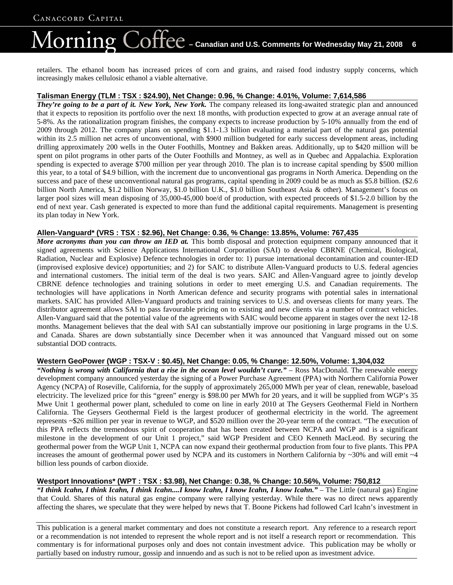# $\overline{\text{Coffec}}$  – Canadian and U.S. Comments for Wednesday May 21, 2008 **6** lorning

retailers. The ethanol boom has increased prices of corn and grains, and raised food industry supply concerns, which increasingly makes cellulosic ethanol a viable alternative.

#### **Talisman Energy (TLM : TSX : \$24.90), Net Change: 0.96, % Change: 4.01%, Volume: 7,614,586**

*They're going to be a part of it. New York, New York.* The company released its long-awaited strategic plan and announced that it expects to reposition its portfolio over the next 18 months, with production expected to grow at an average annual rate of 5-8%. As the rationalization program finishes, the company expects to increase production by 5-10% annually from the end of 2009 through 2012. The company plans on spending \$1.1-1.3 billion evaluating a material part of the natural gas potential within its 2.5 million net acres of unconventional, with \$900 million budgeted for early success development areas, including drilling approximately 200 wells in the Outer Foothills, Montney and Bakken areas. Additionally, up to \$420 million will be spent on pilot programs in other parts of the Outer Foothills and Montney, as well as in Quebec and Appalachia. Exploration spending is expected to average \$700 million per year through 2010. The plan is to increase capital spending by \$500 million this year, to a total of \$4.9 billion, with the increment due to unconventional gas programs in North America. Depending on the success and pace of these unconventional natural gas programs, capital spending in 2009 could be as much as \$5.8 billion. (\$2.6 billion North America, \$1.2 billion Norway, \$1.0 billion U.K., \$1.0 billion Southeast Asia & other). Management's focus on larger pool sizes will mean disposing of 35,000-45,000 boe/d of production, with expected proceeds of \$1.5-2.0 billion by the end of next year. Cash generated is expected to more than fund the additional capital requirements. Management is presenting its plan today in New York.

### **Allen-Vanguard\* (VRS : TSX : \$2.96), Net Change: 0.36, % Change: 13.85%, Volume: 767,435**

*More acronyms than you can throw an IED at.* This bomb disposal and protection equipment company announced that it signed agreements with Science Applications International Corporation (SAI) to develop CBRNE (Chemical, Biological, Radiation, Nuclear and Explosive) Defence technologies in order to: 1) pursue international decontamination and counter-IED (improvised explosive device) opportunities; and 2) for SAIC to distribute Allen-Vanguard products to U.S. federal agencies and international customers. The initial term of the deal is two years. SAIC and Allen-Vanguard agree to jointly develop CBRNE defence technologies and training solutions in order to meet emerging U.S. and Canadian requirements. The technologies will have applications in North American defence and security programs with potential sales in international markets. SAIC has provided Allen-Vanguard products and training services to U.S. and overseas clients for many years. The distributor agreement allows SAI to pass favourable pricing on to existing and new clients via a number of contract vehicles. Allen-Vanguard said that the potential value of the agreements with SAIC would become apparent in stages over the next 12-18 months. Management believes that the deal with SAI can substantially improve our positioning in large programs in the U.S. and Canada. Shares are down substantially since December when it was announced that Vanguard missed out on some substantial DOD contracts.

### **Western GeoPower (WGP : TSX-V : \$0.45), Net Change: 0.05, % Change: 12.50%, Volume: 1,304,032**

*"Nothing is wrong with California that a rise in the ocean level wouldn't cure."* – Ross MacDonald. The renewable energy development company announced yesterday the signing of a Power Purchase Agreement (PPA) with Northern California Power Agency (NCPA) of Roseville, California, for the supply of approximately 265,000 MWh per year of clean, renewable, baseload electricity. The levelized price for this "green" energy is \$98.00 per MWh for 20 years, and it will be supplied from WGP's 35 Mwe Unit 1 geothermal power plant, scheduled to come on line in early 2010 at The Geysers Geothermal Field in Northern California. The Geysers Geothermal Field is the largest producer of geothermal electricity in the world. The agreement represents ~\$26 million per year in revenue to WGP, and \$520 million over the 20-year term of the contract. "The execution of this PPA reflects the tremendous spirit of cooperation that has been created between NCPA and WGP and is a significant milestone in the development of our Unit 1 project," said WGP President and CEO Kenneth MacLeod. By securing the geothermal power from the WGP Unit 1, NCPA can now expand their geothermal production from four to five plants. This PPA increases the amount of geothermal power used by NCPA and its customers in Northern California by  $\sim$ 30% and will emit  $\sim$ 4 billion less pounds of carbon dioxide.

### **Westport Innovations\* (WPT : TSX : \$3.98), Net Change: 0.38, % Change: 10.56%, Volume: 750,812**

*"I think Icahn, I think Icahn, I think Icahn....I know Icahn, I know Icahn, I know Icahn."* – The Little (natural gas) Engine that Could. Shares of this natural gas engine company were rallying yesterday. While there was no direct news apparently affecting the shares, we speculate that they were helped by news that T. Boone Pickens had followed Carl Icahn's investment in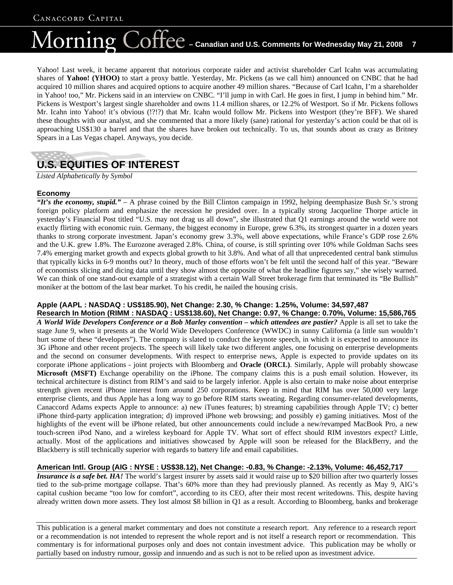# $\overline{\text{Coffec}}$  – Canadian and U.S. Comments for Wednesday May 21, 2008  $\,$  7  $\,$ lorning

Yahoo! Last week, it became apparent that notorious corporate raider and activist shareholder Carl Icahn was accumulating shares of **Yahoo! (YHOO)** to start a proxy battle. Yesterday, Mr. Pickens (as we call him) announced on CNBC that he had acquired 10 million shares and acquired options to acquire another 49 million shares. "Because of Carl Icahn, I'm a shareholder in Yahoo! too," Mr. Pickens said in an interview on CNBC. "I'll jump in with Carl. He goes in first, I jump in behind him." Mr. Pickens is Westport's largest single shareholder and owns 11.4 million shares, or 12.2% of Westport. So if Mr. Pickens follows Mr. Icahn into Yahoo! it's obvious (!?!?) that Mr. Icahn would follow Mr. Pickens into Westport (they're BFF). We shared these thoughts with our analyst, and she commented that a more likely (sane) rational for yesterday's action could be that oil is approaching US\$130 a barrel and that the shares have broken out technically. To us, that sounds about as crazy as Britney Spears in a Las Vegas chapel. Anyways, you decide.

# **U.S. EQUITIES OF INTEREST**

*Listed Alphabetically by Symbol*

### **Economy**

*"It's the economy, stupid."* – A phrase coined by the Bill Clinton campaign in 1992, helping deemphasize Bush Sr.'s strong foreign policy platform and emphasize the recession he presided over. In a typically strong Jacqueline Thorpe article in yesterday's Financial Post titled "U.S. may not drag us all down", she illustrated that Q1 earnings around the world were not exactly flirting with economic ruin. Germany, the biggest economy in Europe, grew 6.3%, its strongest quarter in a dozen years thanks to strong corporate investment. Japan's economy grew 3.3%, well above expectations, while France's GDP rose 2.6% and the U.K. grew 1.8%. The Eurozone averaged 2.8%. China, of course, is still sprinting over 10% while Goldman Sachs sees 7.4% emerging market growth and expects global growth to hit 3.8%. And what of all that unprecedented central bank stimulus that typically kicks in 6-9 months out? In theory, much of those efforts won't be felt until the second half of this year. "Beware of economists slicing and dicing data until they show almost the opposite of what the headline figures say," she wisely warned. We can think of one stand-out example of a strategist with a certain Wall Street brokerage firm that terminated its "Be Bullish" moniker at the bottom of the last bear market. To his credit, he nailed the housing crisis.

# **Apple (AAPL : NASDAQ : US\$185.90), Net Change: 2.30, % Change: 1.25%, Volume: 34,597,487**

**Research In Motion (RIMM : NASDAQ : US\$138.60), Net Change: 0.97, % Change: 0.70%, Volume: 15,586,765** *A World Wide Developers Conference or a Bob Marley convention – which attendees are pastier?* Apple is all set to take the stage June 9, when it presents at the World Wide Developers Conference (WWDC) in sunny California (a little sun wouldn't hurt some of these "developers"). The company is slated to conduct the keynote speech, in which it is expected to announce its 3G iPhone and other recent projects. The speech will likely take two different angles, one focusing on enterprise developments and the second on consumer developments. With respect to enterprise news, Apple is expected to provide updates on its corporate iPhone applications - joint projects with Bloomberg and **Oracle (ORCL)**. Similarly, Apple will probably showcase **Microsoft (MSFT)** Exchange operability on the iPhone. The company claims this is a push email solution. However, its technical architecture is distinct from RIM's and said to be largely inferior. Apple is also certain to make noise about enterprise strength given recent iPhone interest from around 250 corporations. Keep in mind that RIM has over 50,000 very large enterprise clients, and thus Apple has a long way to go before RIM starts sweating. Regarding consumer-related developments, Canaccord Adams expects Apple to announce: a) new iTunes features; b) streaming capabilities through Apple TV; c) better iPhone third-party application integration; d) improved iPhone web browsing; and possibly e) gaming initiatives. Most of the highlights of the event will be iPhone related, but other announcements could include a new/revamped MacBook Pro, a new touch-screen iPod Nano, and a wireless keyboard for Apple TV. What sort of effect should RIM investors expect? Little, actually. Most of the applications and initiatives showcased by Apple will soon be released for the BlackBerry, and the Blackberry is still technically superior with regards to battery life and email capabilities.

### **American Intl. Group (AIG : NYSE : US\$38.12), Net Change: -0.83, % Change: -2.13%, Volume: 46,452,717**

*Insurance is a safe bet. HA!* The world's largest insurer by assets said it would raise up to \$20 billion after two quarterly losses tied to the sub-prime mortgage collapse. That's 60% more than they had previously planned. As recently as May 9, AIG's capital cushion became "too low for comfort", according to its CEO, after their most recent writedowns. This, despite having already written down more assets. They lost almost \$8 billion in Q1 as a result. According to Bloomberg, banks and brokerage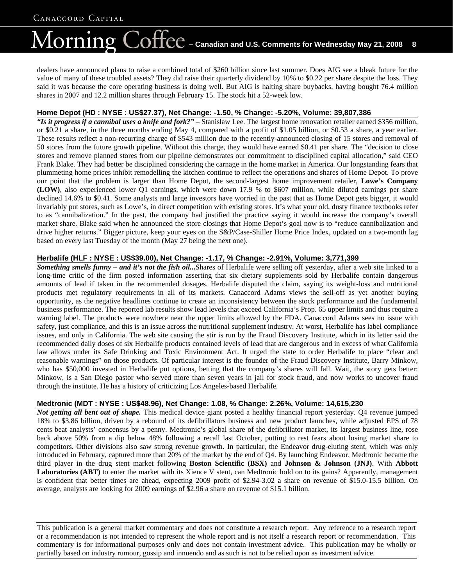# $\overline{\text{Coffect}}$  – Canadian and U.S. Comments for Wednesday May 21, 2008  $^-$  8 lorning

dealers have announced plans to raise a combined total of \$260 billion since last summer. Does AIG see a bleak future for the value of many of these troubled assets? They did raise their quarterly dividend by 10% to \$0.22 per share despite the loss. They said it was because the core operating business is doing well. But AIG is halting share buybacks, having bought 76.4 million shares in 2007 and 12.2 million shares through February 15. The stock hit a 52-week low.

### **Home Depot (HD : NYSE : US\$27.37), Net Change: -1.50, % Change: -5.20%, Volume: 39,807,386**

*"Is it progress if a cannibal uses a knife and fork?"* – Stanislaw Lee. The largest home renovation retailer earned \$356 million, or \$0.21 a share, in the three months ending May 4, compared with a profit of \$1.05 billion, or \$0.53 a share, a year earlier. These results reflect a non-recurring charge of \$543 million due to the recently-announced closing of 15 stores and removal of 50 stores from the future growth pipeline. Without this charge, they would have earned \$0.41 per share. The "decision to close stores and remove planned stores from our pipeline demonstrates our commitment to disciplined capital allocation," said CEO Frank Blake. They had better be disciplined considering the carnage in the home market in America. Our longstanding fears that plummeting home prices inhibit remodelling the kitchen continue to reflect the operations and shares of Home Depot. To prove our point that the problem is larger than Home Depot, the second-largest home improvement retailer, **Lowe's Company (LOW)**, also experienced lower Q1 earnings, which were down 17.9 % to \$607 million, while diluted earnings per share declined 14.6% to \$0.41. Some analysts and large investors have worried in the past that as Home Depot gets bigger, it would invariably put stores, such as Lowe's, in direct competition with existing stores. It's what your old, dusty finance textbooks refer to as "cannibalization." In the past, the company had justified the practice saying it would increase the company's overall market share. Blake said when he announced the store closings that Home Depot's goal now is to "reduce cannibalization and drive higher returns." Bigger picture, keep your eyes on the S&P/Case-Shiller Home Price Index, updated on a two-month lag based on every last Tuesday of the month (May 27 being the next one).

### **Herbalife (HLF : NYSE : US\$39.00), Net Change: -1.17, % Change: -2.91%, Volume: 3,771,399**

*Something smells funny – and it's not the fish oil...*Shares of Herbalife were selling off yesterday, after a web site linked to a long-time critic of the firm posted information asserting that six dietary supplements sold by Herbalife contain dangerous amounts of lead if taken in the recommended dosages. Herbalife disputed the claim, saying its weight-loss and nutritional products met regulatory requirements in all of its markets. Canaccord Adams views the sell-off as yet another buying opportunity, as the negative headlines continue to create an inconsistency between the stock performance and the fundamental business performance. The reported lab results show lead levels that exceed California's Prop. 65 upper limits and thus require a warning label. The products were nowhere near the upper limits allowed by the FDA. Canaccord Adams sees no issue with safety, just compliance, and this is an issue across the nutritional supplement industry. At worst, Herbalife has label compliance issues, and only in California. The web site causing the stir is run by the Fraud Discovery Institute, which in its letter said the recommended daily doses of six Herbalife products contained levels of lead that are dangerous and in excess of what California law allows under its Safe Drinking and Toxic Environment Act. It urged the state to order Herbalife to place "clear and reasonable warnings" on those products. Of particular interest is the founder of the Fraud Discovery Institute, Barry Minkow, who has \$50,000 invested in Herbalife put options, betting that the company's shares will fall. Wait, the story gets better: Minkow, is a San Diego pastor who served more than seven years in jail for stock fraud, and now works to uncover fraud through the institute. He has a history of criticizing Los Angeles-based Herbalife.

### **Medtronic (MDT : NYSE : US\$48.96), Net Change: 1.08, % Change: 2.26%, Volume: 14,615,230**

*Not getting all bent out of shape.* This medical device giant posted a healthy financial report yesterday. Q4 revenue jumped 18% to \$3.86 billion, driven by a rebound of its defibrillators business and new product launches, while adjusted EPS of 78 cents beat analysts' concensus by a penny. Medtronic's global share of the defibrillator market, its largest business line, rose back above 50% from a dip below 48% following a recall last October, putting to rest fears about losing market share to competitors. Other divisions also saw strong revenue growth. In particular, the Endeavor drug-eluting stent, which was only introduced in February, captured more than 20% of the market by the end of Q4. By launching Endeavor, Medtronic became the third player in the drug stent market following **Boston Scientific (BSX)** and **Johnson & Johnson (JNJ)**. With **Abbott**  Laboratories (ABT) to enter the market with its Xience V stent, can Medtronic hold on to its gains? Apparently, management is confident that better times are ahead, expecting 2009 profit of \$2.94-3.02 a share on revenue of \$15.0-15.5 billion. On average, analysts are looking for 2009 earnings of \$2.96 a share on revenue of \$15.1 billion.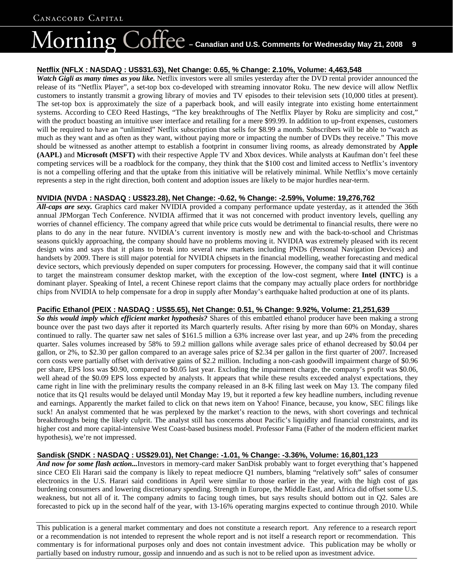## $\overline{\text{LOff}}$  $\text{C}$  – Canadian and U.S. Comments for Wednesday May 21, 2008  $^-$  9 lorning

#### **Netflix (NFLX : NASDAQ : US\$31.63), Net Change: 0.65, % Change: 2.10%, Volume: 4,463,548**

*Watch Gigli as many times as you like.* Netflix investors were all smiles yesterday after the DVD rental provider announced the release of its "Netflix Player", a set-top box co-developed with streaming innovator Roku. The new device will allow Netflix customers to instantly transmit a growing library of movies and TV episodes to their television sets (10,000 titles at present). The set-top box is approximately the size of a paperback book, and will easily integrate into existing home entertainment systems. According to CEO Reed Hastings, "The key breakthroughs of The Netflix Player by Roku are simplicity and cost," with the product boasting an intuitive user interface and retailing for a mere \$99.99. In addition to up-front expenses, customers will be required to have an "unlimited" Netflix subscription that sells for \$8.99 a month. Subscribers will be able to "watch as much as they want and as often as they want, without paying more or impacting the number of DVDs they receive." This move should be witnessed as another attempt to establish a footprint in consumer living rooms, as already demonstrated by **Apple (AAPL)** and **Microsoft (MSFT)** with their respective Apple TV and Xbox devices. While analysts at Kaufman don't feel these competing services will be a roadblock for the company, they think that the \$100 cost and limited access to Netflix's inventory is not a compelling offering and that the uptake from this initiative will be relatively minimal. While Netflix's move certainly represents a step in the right direction, both content and adoption issues are likely to be major hurdles near-term.

#### **NVIDIA (NVDA : NASDAQ : US\$23.28), Net Change: -0.62, % Change: -2.59%, Volume: 19,276,762**

*All-caps are sexy.* Graphics card maker NVIDIA provided a company performance update yesterday, as it attended the 36th annual JPMorgan Tech Conference. NVIDIA affirmed that it was not concerned with product inventory levels, quelling any worries of channel efficiency. The company agreed that while price cuts would be detrimental to financial results, there were no plans to do any in the near future. NVIDIA's current inventory is mostly new and with the back-to-school and Christmas seasons quickly approaching, the company should have no problems moving it. NVIDIA was extremely pleased with its recent design wins and says that it plans to break into several new markets including PNDs (Personal Navigation Devices) and handsets by 2009. There is still major potential for NVIDIA chipsets in the financial modelling, weather forecasting and medical device sectors, which previously depended on super computers for processing. However, the company said that it will continue to target the mainstream consumer desktop market, with the exception of the low-cost segment, where **Intel (INTC)** is a dominant player. Speaking of Intel, a recent Chinese report claims that the company may actually place orders for northbridge chips from NVIDIA to help compensate for a drop in supply after Monday's earthquake halted production at one of its plants.

#### **Pacific Ethanol (PEIX : NASDAQ : US\$5.65), Net Change: 0.51, % Change: 9.92%, Volume: 21,251,639**

*So this would imply which efficient market hypothesis?* Shares of this embattled ethanol producer have been making a strong bounce over the past two days after it reported its March quarterly results. After rising by more than 60% on Monday, shares continued to rally. The quarter saw net sales of \$161.5 million a 63% increase over last year, and up 24% from the preceding quarter. Sales volumes increased by 58% to 59.2 million gallons while average sales price of ethanol decreased by \$0.04 per gallon, or 2%, to \$2.30 per gallon compared to an average sales price of \$2.34 per gallon in the first quarter of 2007. Increased corn costs were partially offset with derivative gains of \$2.2 million. Including a non-cash goodwill impairment charge of \$0.96 per share, EPS loss was \$0.90, compared to \$0.05 last year. Excluding the impairment charge, the company's profit was \$0.06, well ahead of the \$0.09 EPS loss expected by analysts. It appears that while these results exceeded analyst expectations, they came right in line with the preliminary results the company released in an 8-K filing last week on May 13. The company filed notice that its Q1 results would be delayed until Monday May 19, but it reported a few key headline numbers, including revenue and earnings. Apparently the market failed to click on that news item on Yahoo! Finance, because, you know, SEC filings like suck! An analyst commented that he was perplexed by the market's reaction to the news, with short coverings and technical breakthroughs being the likely culprit. The analyst still has concerns about Pacific's liquidity and financial constraints, and its higher cost and more capital-intensive West Coast-based business model. Professor Fama (Father of the modern efficient market hypothesis), we're not impressed.

#### **Sandisk (SNDK : NASDAQ : US\$29.01), Net Change: -1.01, % Change: -3.36%, Volume: 16,801,123**

And now for some flash action...Investors in memory-card maker SanDisk probably want to forget everything that's happened since CEO Eli Harari said the company is likely to repeat mediocre Q1 numbers, blaming "relatively soft" sales of consumer electronics in the U.S. Harari said conditions in April were similar to those earlier in the year, with the high cost of gas burdening consumers and lowering discretionary spending. Strength in Europe, the Middle East, and Africa did offset some U.S. weakness, but not all of it. The company admits to facing tough times, but says results should bottom out in Q2. Sales are forecasted to pick up in the second half of the year, with 13-16% operating margins expected to continue through 2010. While